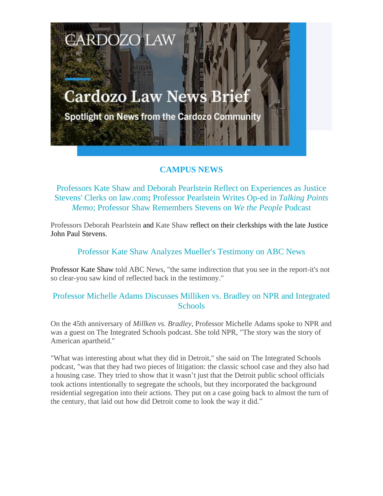# **Cardozo Law News Brief**

**CARDOZO LAW** 

Spotlight on News from the Cardozo Community

# **CAMPUS NEWS**

Professors Kate Shaw and Deborah Pearlstein Reflect on Experiences as Justice Stevens' Clerks on law.com**;** Professor Pearlstein Writes Op-ed in *Talking Points Memo*; Professor Shaw Remembers Stevens on *We the People* Podcast

Professors Deborah Pearlstein and Kate Shaw reflect on their clerkships with the late Justice John Paul Stevens.

## Professor Kate Shaw Analyzes Mueller's Testimony on ABC News

Professor Kate Shaw told ABC News, "the same indirection that you see in the report-it's not so clear-you saw kind of reflected back in the testimony."

## Professor Michelle Adams Discusses Milliken vs. Bradley on NPR and Integrated **Schools**

On the 45th anniversary of *Millken vs. Bradley*, Professor Michelle Adams spoke to NPR and was a guest on The Integrated Schools podcast. She told NPR, "The story was the story of American apartheid."

"What was interesting about what they did in Detroit," she said on The Integrated Schools podcast, "was that they had two pieces of litigation: the classic school case and they also had a housing case. They tried to show that it wasn't just that the Detroit public school officials took actions intentionally to segregate the schools, but they incorporated the background residential segregation into their actions. They put on a case going back to almost the turn of the century, that laid out how did Detroit come to look the way it did."